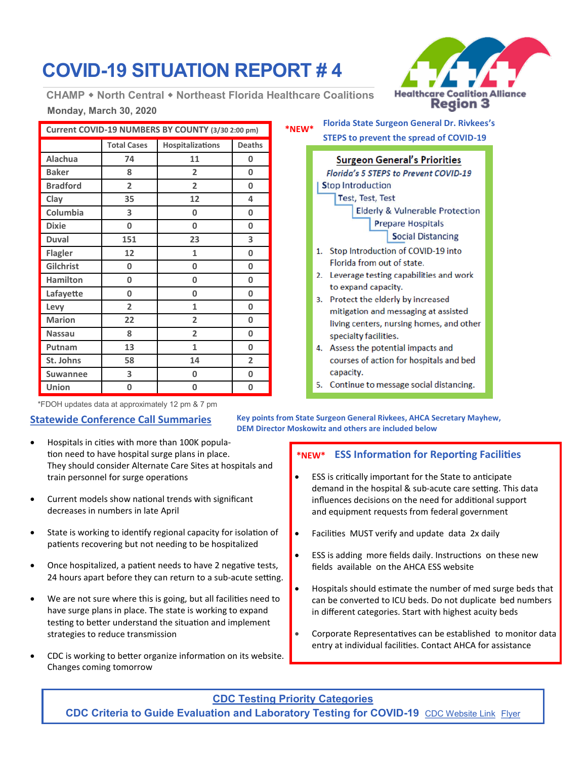# **COVID-19 SITUATION REPORT # 4**

**Monday, March 30, 2020 CHAMP North Central Northeast Florida Healthcare Coalitions**

| Current COVID-19 NUMBERS BY COUNTY (3/30 2:00 pm) |                    |                  |                |
|---------------------------------------------------|--------------------|------------------|----------------|
|                                                   | <b>Total Cases</b> | Hospitalizations | <b>Deaths</b>  |
| Alachua                                           | 74                 | 11               | 0              |
| <b>Baker</b>                                      | 8                  | $\overline{2}$   | 0              |
| <b>Bradford</b>                                   | $\overline{2}$     | 2                | 0              |
| Clay                                              | 35                 | 12               | 4              |
| Columbia                                          | 3                  | 0                | 0              |
| <b>Dixie</b>                                      | 0                  | 0                | 0              |
| <b>Duval</b>                                      | 151                | 23               | 3              |
| <b>Flagler</b>                                    | 12                 | 1                | 0              |
| Gilchrist                                         | 0                  | 0                | 0              |
| <b>Hamilton</b>                                   | 0                  | 0                | 0              |
| Lafayette                                         | 0                  | 0                | 0              |
| Levy                                              | $\overline{2}$     | 1                | 0              |
| <b>Marion</b>                                     | 22                 | $\overline{2}$   | 0              |
| <b>Nassau</b>                                     | 8                  | $\overline{2}$   | 0              |
| Putnam                                            | 13                 | $\mathbf{1}$     | 0              |
| St. Johns                                         | 58                 | 14               | $\overline{2}$ |
| <b>Suwannee</b>                                   | 3                  | 0                | 0              |
| Union                                             | 0                  | 0                | 0              |

\*FDOH updates data at approximately 12 pm & 7 pm

### **Statewide Conference Call Summaries**

- Hospitals in cities with more than 100K population need to have hospital surge plans in place. They should consider Alternate Care Sites at hospitals and train personnel for surge operations
- Current models show national trends with significant decreases in numbers in late April
- State is working to identify regional capacity for isolation of patients recovering but not needing to be hospitalized
- Once hospitalized, a patient needs to have 2 negative tests, 24 hours apart before they can return to a sub-acute setting.
- We are not sure where this is going, but all facilities need to have surge plans in place. The state is working to expand testing to better understand the situation and implement strategies to reduce transmission
- CDC is working to better organize information on its website. Changes coming tomorrow

### **Florida State Surgeon General Dr. Rivkees's STEPS to prevent the spread of COVID-19 \*NEW\***

|    | <b>Surgeon General's Priorities</b>          |
|----|----------------------------------------------|
|    | <b>Florida's 5 STEPS to Prevent COVID-19</b> |
|    | <b>Stop Introduction</b>                     |
|    | Test, Test, Test                             |
|    | <b>Elderly &amp; Vulnerable Protection</b>   |
|    | <b>Prepare Hospitals</b>                     |
|    | <b>Social Distancing</b>                     |
|    | 1. Stop Introduction of COVID-19 into        |
|    | Florida from out of state.                   |
| 2. | Leverage testing capabilities and work       |
|    | to expand capacity.                          |
| 3. | Protect the elderly by increased             |
|    | mitigation and messaging at assisted         |
|    | living contors, nursing homes, and other     |

- living centers, nursing homes, and other specialty facilities. 4. Assess the potential impacts and
- courses of action for hospitals and bed capacity.
- 5. Continue to message social distancing.

**Key points from State Surgeon General Rivkees, AHCA Secretary Mayhew, DEM Director Moskowitz and others are included below**

### **ESS Information for Reporting Facilities \*NEW\***

- ESS is critically important for the State to anticipate demand in the hospital & sub-acute care setting. This data influences decisions on the need for additional support and equipment requests from federal government
- Facilities MUST verify and update data 2x daily
- ESS is adding more fields daily. Instructions on these new fields available on the AHCA ESS website
- Hospitals should estimate the number of med surge beds that can be converted to ICU beds. Do not duplicate bed numbers in different categories. Start with highest acuity beds
- Corporate Representatives can be established to monitor data entry at individual facilities. Contact AHCA for assistance

### **CDC Testing Priority Categories CDC Criteria to Guide Evaluation and Laboratory Testing for COVID-19** [CDC Website Link](https://www.cdc.gov/coronavirus/2019-nCoV/hcp/clinical-criteria.html) [Flyer](https://www.cdc.gov/coronavirus/2019-ncov/downloads/priority-testing-patients.pdf)